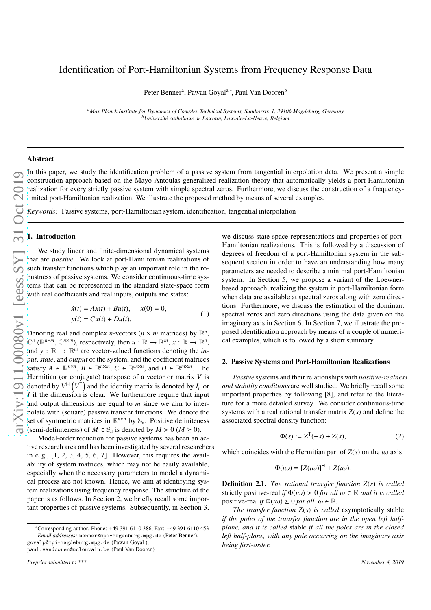Peter Bennerª, Pawan Goyalª,\*, Paul Van Dooren<sup>b</sup>

*<sup>a</sup>Max Planck Institute for Dynamics of Complex Technical Systems, Sandtorstr. 1, 39106 Magdeburg, Germany <sup>b</sup>Universit´e catholique de Louvain, Louvain-La-Neuve, Belgium*

### Abstract

In this paper, we study the identification problem of a passive system from tangential interpolation data. We present a simple construction approach based on the Mayo-Antoulas generalized realization theory that automatically yields a port-Hamiltonian realization for every strictly passive system with simple spectral zeros. Furthermore, we discuss the construction of a frequencylimited port-Hamiltonian realization. We illustrate the proposed method by means of several examples.

*Keywords:* Passive systems, port-Hamiltonian system, identification, tangential interpolation

# 1. Introduction

We study linear and finite-dimensional dynamical systems that are *passive*. We look at port-Hamiltonian realizations of such transfer functions which play an important role in the robustness of passive systems. We consider continuous-time systems that can be represented in the standard state-space form with real coefficients and real inputs, outputs and states:

$$
\dot{x}(t) = Ax(t) + Bu(t), \quad x(0) = 0,\n y(t) = Cx(t) + Du(t).
$$
\n(1)

Denoting real and complex *n*-vectors ( $n \times m$  matrices) by  $\mathbb{R}^n$ ,  $\mathbb{C}^n$  ( $\mathbb{R}^{n \times m}$ ,  $\mathbb{C}^{n \times m}$ ), respectively, then  $u : \mathbb{R} \to \mathbb{R}^m$ ,  $x : \mathbb{R} \to \mathbb{R}^n$ , and  $y : \mathbb{R} \to \mathbb{R}^m$  are vector-valued functions denoting the *input*, *state*, and *output* of the system, and the coefficient matrices satisfy  $A \in \mathbb{R}^{n \times n}$ ,  $B \in \mathbb{R}^{n \times m}$ ,  $C \in \mathbb{R}^{m \times n}$ , and  $D \in \mathbb{R}^{m \times m}$ . The Hermitian (or conjugate) transpose of a vector or matrix *V* is denoted by  $V^{\dagger}$   $(V^{\dagger})$  and the identity matrix is denoted by  $I_n$  or *I* if the dimension is clear. We furthermore require that input and output dimensions are equal to *m* since we aim to interpolate with (square) passive transfer functions. We denote the set of symmetric matrices in  $\mathbb{R}^{n \times n}$  by  $\mathbb{S}_n$ . Positive definiteness (semi-definiteness) of  $M \in \mathbb{S}_n$  is denoted by  $M > 0$  ( $M \ge 0$ ).

Model-order reduction for passive systems has been an active research area and has been investigated by several researchers in e.g.,  $[1, 2, 3, 4, 5, 6, 7]$  $[1, 2, 3, 4, 5, 6, 7]$  $[1, 2, 3, 4, 5, 6, 7]$  $[1, 2, 3, 4, 5, 6, 7]$  $[1, 2, 3, 4, 5, 6, 7]$  $[1, 2, 3, 4, 5, 6, 7]$  $[1, 2, 3, 4, 5, 6, 7]$  $[1, 2, 3, 4, 5, 6, 7]$  $[1, 2, 3, 4, 5, 6, 7]$ . However, this requires the availability of system matrices, which may not be easily available, especially when the necessary parameters to model a dynamical process are not known. Hence, we aim at identifying system realizations using frequency response. The structure of the paper is as follows. In Section 2, we briefly recall some important properties of passive systems. Subsequently, in Section 3,

goyalp@mpi-magdeburg.mpg.de (Pawan Goyal ),

paul.vandooren@uclouvain.be (Paul Van Dooren)

we discuss state-space representations and properties of port-Hamiltonian realizations. This is followed by a discussion of degrees of freedom of a port-Hamiltonian system in the subsequent section in order to have an understanding how many parameters are needed to describe a minimal port-Hamiltonian system. In Section 5, we propose a variant of the Loewnerbased approach, realizing the system in port-Hamiltonian form when data are available at spectral zeros along with zero directions. Furthermore, we discuss the estimation of the dominant spectral zeros and zero directions using the data given on the imaginary axis in Section 6. In Section 7, we illustrate the proposed identification approach by means of a couple of numerical examples, which is followed by a short summary.

#### <span id="page-0-0"></span>2. Passive Systems and Port-Hamiltonian Realizations

*Passive* systems and their relationships with *positive-realness and stability conditions* are well studied. We briefly recall some important properties by following [\[8\]](#page-8-7), and refer to the literature for a more detailed survey. We consider continuous-time systems with a real rational transfer matrix *Z*(*s*) and define the associated spectral density function:

$$
\Phi(s) := Z^{T}(-s) + Z(s),
$$
 (2)

which coincides with the Hermitian part of  $Z(s)$  on the  $i\omega$  axis:

$$
\Phi(i\omega) = [Z(i\omega)]^{\mathsf{H}} + Z(i\omega).
$$

Definition 2.1. *The rational transfer function Z*(*s*) *is called* strictly positive-real *if*  $\Phi(u) > 0$  *for all*  $\omega \in \mathbb{R}$  *and it is called* positive-real *if*  $\Phi(u\omega) \ge 0$  *for all*  $\omega \in \mathbb{R}$ .

*The transfer function Z*(*s*) *is called* asymptotically stable *if the poles of the transfer function are in the open left halfplane, and it is called* stable *if all the poles are in the closed left half-plane, with any pole occurring on the imaginary axis being first-order.*

<sup>∗</sup>Corresponding author. Phone: +49 391 6110 386, Fax: +49 391 6110 453 *Email addresses:* benner@mpi-magdeburg.mpg.de (Peter Benner),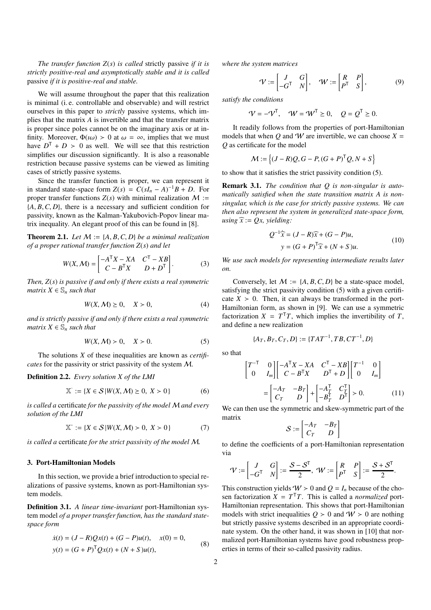*The transfer function Z*(*s*) *is called* strictly passive *if it is strictly positive-real and asymptotically stable and it is called* passive *if it is positive-real and stable.*

We will assume throughout the paper that this realization is minimal (i. e. controllable and observable) and will restrict ourselves in this paper to *strictly* passive systems, which implies that the matrix *A* is invertible and that the transfer matrix is proper since poles cannot be on the imaginary axis or at infinity. Moreover,  $\Phi(u\omega) > 0$  at  $\omega = \infty$ , implies that we must have  $D^{\mathsf{T}} + D > 0$  as well. We will see that this restriction simplifies our discussion significantly. It is also a reasonable restriction because passive systems can be viewed as limiting cases of strictly passive systems.

Since the transfer function is proper, we can represent it in standard state-space form  $Z(s) = C(sI_n - A)^{-1}B + D$ . For proper transfer functions  $Z(s)$  with minimal realization  $M$  := {*A*, *B*,*C*, *D*}, there is a necessary and sufficient condition for passivity, known as the Kalman-Yakubovich-Popov linear matrix inequality. An elegant proof of this can be found in [\[8\]](#page-8-7).

**Theorem 2.1.** Let  $M := \{A, B, C, D\}$  be a minimal realization *of a proper rational transfer function Z*(*s*) *and let*

$$
W(X, \mathcal{M}) = \begin{bmatrix} -A^{\mathsf{T}}X - XA & C^{\mathsf{T}} - XB \\ C - B^{\mathsf{T}}X & D + D^{\mathsf{T}} \end{bmatrix}.
$$
 (3)

*Then, Z*(*s*) *is passive if and only if there exists a real symmetric matrix*  $X \in \mathbb{S}_n$  *such that* 

$$
W(X, \mathcal{M}) \ge 0, \quad X > 0,\tag{4}
$$

*and is strictly passive if and only if there exists a real symmetric matrix*  $X \in \mathbb{S}_n$  *such that* 

<span id="page-1-0"></span>
$$
W(X, \mathcal{M}) > 0, \quad X > 0. \tag{5}
$$

The solutions *X* of these inequalities are known as *certificates* for the passivity or strict passivity of the system M.

# Definition 2.2. *Every solution X of the LMI*

$$
\mathbb{X}^{\cdot} := \{ X \in \mathcal{S} \, | \, W(X, \mathcal{M}) \ge 0, \ X > 0 \} \tag{6}
$$

*is called a* certificate *for the passivity of the model* M *and every solution of the LMI*

$$
\mathbb{X}^* := \{ X \in \mathcal{S} | W(X, \mathcal{M}) > 0, \ X > 0 \}
$$
 (7)

*is called a* certificate *for the strict passivity of the model* M*.*

### 3. Port-Hamiltonian Models

In this section, we provide a brief introduction to special realizations of passive systems, known as port-Hamiltonian system models.

Definition 3.1. *A linear time-invariant* port-Hamiltonian system model *of a proper transfer function, has the standard statespace form*

$$
\dot{x}(t) = (J - R)Qx(t) + (G - P)u(t), \quad x(0) = 0,\n y(t) = (G + P)^{T}Qx(t) + (N + S)u(t),
$$
\n(8)

*where the system matrices*

$$
\mathcal{V} := \begin{bmatrix} J & G \\ -G^{\mathsf{T}} & N \end{bmatrix}, \quad \mathcal{W} := \begin{bmatrix} R & P \\ P^{\mathsf{T}} & S \end{bmatrix}, \tag{9}
$$

*satisfy the conditions*

$$
\mathcal{V} = -\mathcal{V}^{\mathsf{T}}, \quad \mathcal{W} = \mathcal{W}^{\mathsf{T}} \geq 0, \quad \mathcal{Q} = \mathcal{Q}^{\mathsf{T}} \geq 0.
$$

It readily follows from the properties of port-Hamiltonian models that when *Q* and *W* are invertible, we can choose  $X =$ *Q* as certificate for the model

$$
\mathcal{M} := \left\{ (J - R)Q, G - P, (G + P)^{\mathsf{T}}Q, N + S \right\}
$$

to show that it satisfies the strict passivity condition [\(5\)](#page-1-0).

Remark 3.1. *The condition that Q is non-singular is automatically satisfied when the state transition matrix A is nonsingular, which is the case for strictly passive systems. We can then also represent the system in generalized state-space form, using*  $\widehat{x}$  := *Qx, yielding*:

<span id="page-1-1"></span>
$$
Q^{-1}\hat{x} = (J - R)\hat{x} + (G - P)u,
$$
  

$$
y = (G + P)^{T}\hat{x} + (N + S)u.
$$
 (10)

*We use such models for representing intermediate results later on.*

Conversely, let  $M := \{A, B, C, D\}$  be a state-space model, satisfying the strict passivity condition [\(5\)](#page-1-0) with a given certificate  $X > 0$ . Then, it can always be transformed in the port-Hamiltonian form, as shown in [\[9\]](#page-8-8). We can use a symmetric factorization  $X = T<sup>T</sup>T$ , which implies the invertibility of *T*, and define a new realization

$$
\{A_T, B_T, C_T, D\} := \{TAT^{-1}, TB, CT^{-1}, D\}
$$

so that

$$
\begin{bmatrix} T^{-\mathsf{T}} & 0 \\ 0 & I_m \end{bmatrix} \begin{bmatrix} -A^{\mathsf{T}}X - XA & C^{\mathsf{T}} - XB \\ C - B^{\mathsf{T}}X & D^{\mathsf{T}} + D \end{bmatrix} \begin{bmatrix} T^{-1} & 0 \\ 0 & I_m \end{bmatrix}
$$
\n
$$
= \begin{bmatrix} -A_T & -B_T \\ C_T & D \end{bmatrix} + \begin{bmatrix} -A_T^{\mathsf{T}} & C_T^{\mathsf{T}} \\ -B_T^{\mathsf{T}} & D^{\mathsf{T}} \end{bmatrix} > 0. \tag{11}
$$

We can then use the symmetric and skew-symmetric part of the matrix

$$
\mathcal{S}:=\begin{bmatrix} -A_T & -B_T \\ C_T & D \end{bmatrix}
$$

to define the coefficients of a port-Hamiltonian representation via

$$
\mathcal{V} := \begin{bmatrix} J & G \\ -G^{\mathsf{T}} & N \end{bmatrix} := \frac{\mathcal{S} - \mathcal{S}^{\mathsf{T}}}{2}, \ \mathcal{W} := \begin{bmatrix} R & P \\ P^{\mathsf{T}} & S \end{bmatrix} := \frac{\mathcal{S} + \mathcal{S}^{\mathsf{T}}}{2}.
$$

This construction yields  $W > 0$  and  $Q = I_n$  because of the chosen factorization  $X = T<sup>T</sup>T$ . This is called a *normalized* port-Hamiltonian representation. This shows that port-Hamiltonian models with strict inequalities  $Q > 0$  and  $W > 0$  are nothing but strictly passive systems described in an appropriate coordinate system. On the other hand, it was shown in [\[10\]](#page-8-9) that normalized port-Hamiltonian systems have good robustness properties in terms of their so-called passivity radius.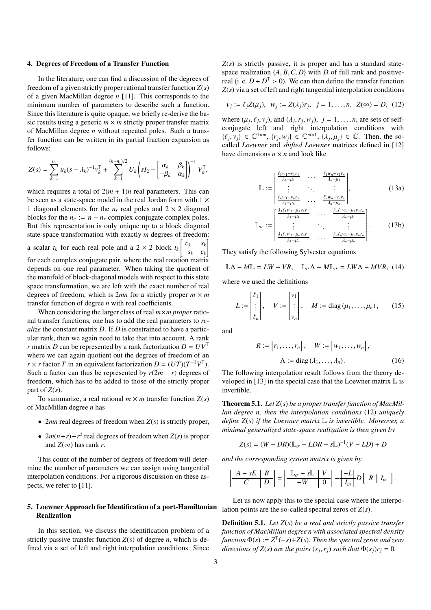#### 4. Degrees of Freedom of a Transfer Function

In the literature, one can find a discussion of the degrees of freedom of a given strictly proper rational transfer function *Z*(*s*) of a given MacMillan degree *n* [\[11](#page-8-10)]. This corresponds to the minimum number of parameters to describe such a function. Since this literature is quite opaque, we briefly re-derive the basic results using a generic  $m \times m$  strictly proper transfer matrix of MacMillan degree *n* without repeated poles. Such a transfer function can be written in its partial fraction expansion as follows:

$$
Z(s) = \sum_{k=1}^{n_r} u_k (s - \lambda_k)^{-1} v_k^{\mathsf{T}} + \sum_{k=1}^{(n-n_r)/2} U_k \left( s I_2 - \begin{bmatrix} \alpha_k & \beta_k \\ -\beta_k & \alpha_k \end{bmatrix} \right)^{-1} V_k^{\mathsf{T}},
$$

which requires a total of  $2(m + 1)n$  real parameters. This can be seen as a state-space model in the real Jordan form with  $1 \times$ 1 diagonal elements for the  $n_r$  real poles and  $2 \times 2$  diagonal blocks for the  $n_c := n - n_r$  complex conjugate complex poles. But this representation is only unique up to a block diagonal state-space transformation with exactly *m* degrees of freedom: a scalar  $t_k$  for each real pole and a  $2 \times 2$  block  $t_k$  $\begin{bmatrix} c_k & s_k \end{bmatrix}$  $-s_k$  *c<sub>k</sub>* 1 for each complex conjugate pair, where the real rotation matrix depends on one real parameter. When taking the quotient of the manifold of block-diagonal models with respect to this state space transformation, we are left with the exact number of real degrees of freedom, which is  $2mn$  for a strictly proper  $m \times m$ transfer function of degree *n* with real coefficients.

When considering the larger class of real *m*×*m proper*rational transfer functions, one has to add the real parameters to *realize* the constant matrix *D*. If *D* is constrained to have a particular rank, then we again need to take that into account. A rank *r* matrix *D* can be represented by a rank factorization  $D = UV<sup>T</sup>$ where we can again quotient out the degrees of freedom of an *r* × *r* factor *T* in an equivalent factorization *D* =  $(UT)(T^{-1}V^T)$ . Such a factor can thus be represented by  $r(2m - r)$  degrees of freedom, which has to be added to those of the strictly proper part of  $Z(s)$ .

To summarize, a real rational  $m \times m$  transfer function  $Z(s)$ of MacMillan degree *n* has

- 2*mn* real degrees of freedom when *Z*(*s*) is strictly proper,
- $2m(n+r)-r^2$  real degrees of freedom when *Z*(*s*) is proper and  $Z(\infty)$  has rank *r*.

This count of the number of degrees of freedom will determine the number of parameters we can assign using tangential interpolation conditions. For a rigorous discussion on these aspects, we refer to [\[11](#page-8-10)].

# 5. Loewner Approach for Identification of a port-Hamiltonian Realization

In this section, we discuss the identification problem of a strictly passive transfer function  $Z(s)$  of degree *n*, which is defined via a set of left and right interpolation conditions. Since  $Z(s)$  is strictly passive, it is proper and has a standard statespace realization  $\{A, B, C, D\}$  with *D* of full rank and positivereal (i. e.  $D + D^{T} > 0$ ). We can then define the transfer function *Z*(*s*) via a set of left and right tangential interpolation conditions

<span id="page-2-0"></span>
$$
v_j := \ell_j Z(\mu_j), \ \ w_j := Z(\lambda_j) r_j, \ \ j = 1, ..., n, \ \ Z(\infty) = D, \ \ (12)
$$

where  $(\mu_j, \ell_j, v_j)$ , and  $(\lambda_j, r_j, w_j)$ ,  $j = 1, \ldots, n$ , are sets of selfconjugate left and right interpolation conditions with  $\{\ell_j, v_j\} \in \mathbb{C}^{1 \times m}$ ,  $\{r_j, w_j\} \in \mathbb{C}^{m \times 1}$ ,  $\{\lambda_j, \mu_j\} \in \mathbb{C}$ . Then, the socalled *Loewner* and *shifted Loewner* matrices defined in [\[12\]](#page-8-11) have dimensions  $n \times n$  and look like

$$
\mathbb{L} := \begin{bmatrix} \frac{\ell_1 w_1 - v_1 r_1}{\lambda_1 - \mu_1} & \cdots & \frac{\ell_1 w_n - v_1 r_n}{\lambda_n - \mu_1} \\ \vdots & \ddots & \vdots \\ \frac{\ell_n w_1 - v_n r_1}{\lambda_1 - \mu_n} & \cdots & \frac{\ell_n w_n - v_n r_n}{\lambda_n - \mu_n} \end{bmatrix},
$$
(13a)  

$$
\mathbb{L}_{\sigma} := \begin{bmatrix} \frac{\lambda_1 \ell_1 w_1 - \mu_1 v_1 r_1}{\lambda_1 - \mu_1} & \cdots & \frac{\lambda_n \ell_1 w_n - \mu_1 v_1 r_n}{\lambda_n - \mu_1} \\ \vdots & \ddots & \vdots \\ \frac{\lambda_1 \ell_n w_1 - \mu_n v_n r_1}{\lambda_1 - \mu_n} & \cdots & \frac{\lambda_n \ell_n w_n - \mu_n v_n r_n}{\lambda_n - \mu_n} \end{bmatrix}.
$$
(13b)

They satisfy the following Sylvester equations

$$
\mathbb{L}\Lambda - M\mathbb{L} = LW - VR, \quad \mathbb{L}_{\sigma}\Lambda - M\mathbb{L}_{\sigma} = LW\Lambda - MVR, \tag{14}
$$

where we used the definitions

$$
L := \begin{bmatrix} \ell_1 \\ \vdots \\ \ell_n \end{bmatrix}, \quad V := \begin{bmatrix} v_1 \\ \vdots \\ v_n \end{bmatrix}, \quad M := \text{diag}(\mu_1, \dots, \mu_n), \quad (15)
$$

and

<span id="page-2-2"></span>
$$
R := [r_1, \dots, r_n], \quad W := [w_1, \dots, w_n],
$$

$$
\Lambda := \text{diag}(\lambda_1, \dots, \lambda_n).
$$
(16)

The following interpolation result follows from the theory de-veloped in [\[13\]](#page-8-12) in the special case that the Loewner matrix  $\mathbb L$  is invertible.

<span id="page-2-1"></span>Theorem 5.1. *Let Z*(*s*) *be a proper transfer function of MacMillan degree n, then the interpolation conditions* [\(12\)](#page-2-0) *uniquely define Z*(*s*) *if the Loewner matrix* L *is invertible. Moreover, a minimal generalized state-space realization is then given by*

$$
Z(s) = (W - DR)(\mathbb{L}_{\sigma} - LDR - s\mathbb{L})^{-1}(V - LD) + D
$$

*and the corresponding system matrix is given by*

$$
\left[\begin{array}{c|c} A-sE & B \\ \hline C & D \end{array}\right] = \left[\begin{array}{c|c} \mathbb{L}_{\sigma}-s\mathbb{L} & V \\ \hline -W & 0 \end{array}\right] + \left[\begin{array}{c|c} -L \\ \hline I_m \end{array}\right]D\left[\begin{array}{c|c} R & I_m \end{array}\right].
$$

Let us now apply this to the special case where the interpolation points are the so-called spectral zeros of *Z*(*s*).

Definition 5.1. *Let Z*(*s*) *be a real and strictly passive transfer function of MacMillan degree n with associated spectral density*  $f$ unction  $\Phi(s) := Z^{\mathsf{T}}(-s) + Z(s)$ . Then the spectral zeros and zero *directions of*  $Z(s)$  *are the pairs*  $(s_j, r_j)$  *such that*  $\Phi(s_j) r_j = 0$ *.*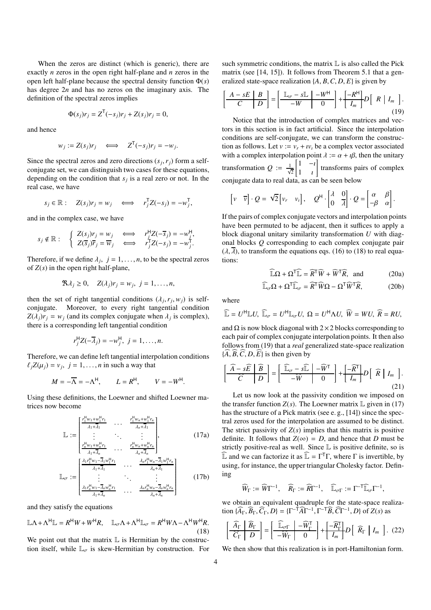When the zeros are distinct (which is generic), there are exactly *n* zeros in the open right half-plane and *n* zeros in the open left half-plane because the spectral density function Φ(*s*) has degree 2*n* and has no zeros on the imaginary axis. The definition of the spectral zeros implies

$$
\Phi(s_j)r_j = Z^{\mathsf{T}}(-s_j)r_j + Z(s_j)r_j = 0,
$$

and hence

$$
w_j:=Z(s_j)r_j\quad\Longleftrightarrow\quad Z^{\mathsf{T}}(-s_j)r_j=-w_j.
$$

Since the spectral zeros and zero directions  $(s_j, r_j)$  form a selfconjugate set, we can distinguish two cases for these equations, depending on the condition that  $s_j$  is a real zero or not. In the real case, we have

$$
s_j \in \mathbb{R}:\quad Z(s_j)r_j=w_j\quad\Longleftrightarrow\quad r_j^\mathsf{T} Z(-s_j)=-w_j^\mathsf{T},
$$

and in the complex case, we have

$$
s_j \notin \mathbb{R} : \quad \begin{cases} Z(s_j)r_j = w_j & \Longleftrightarrow & r_j^{\mathsf{H}}Z(-\overline{s}_j) = -w_j^{\mathsf{H}}, \\ Z(\overline{s}_j)\overline{r}_j = \overline{w}_j & \Longleftrightarrow & r_j^{\mathsf{T}}Z(-s_j) = -w_j^{\mathsf{T}}. \end{cases}
$$

Therefore, if we define  $\lambda_j$ ,  $j = 1, \ldots, n$ , to be the spectral zeros of  $Z(s)$  in the open right half-plane,

$$
\Re \lambda_j \geq 0, \quad Z(\lambda_j)r_j = w_j, \ j = 1, \ldots, n,
$$

then the set of right tangential conditions  $(\lambda_j, r_j, w_j)$  is selfconjugate. Moreover, to every right tangential condition  $Z(\lambda_j)r_j = w_j$  (and its complex conjugate when  $\lambda_j$  is complex), there is a corresponding left tangential condition

$$
r_j^{\mathsf{H}}Z(-\overline{\lambda}_j)=-w_j^{\mathsf{H}},\ j=1,\ldots,n.
$$

Therefore, we can define left tangential interpolation conditions  $\ell_j Z(\mu_j) = v_j$ ,  $j = 1, \dots, n$  in such a way that

$$
M=-\overline{\Lambda}=-\Lambda^{\mathsf{H}},\qquad L=R^{\mathsf{H}},\qquad V=-W^{\mathsf{H}}.
$$

Using these definitions, the Loewner and shifted Loewner matrices now become

<span id="page-3-2"></span>
$$
\mathbb{L} := \begin{bmatrix} \frac{r_1^H w_1 + w_1^H r_1}{\lambda_1 + \overline{\lambda}_1} & \cdots & \frac{r_1^H w_n + w_1^H r_n}{\lambda_n + \overline{\lambda}_1} \\ \vdots & \ddots & \vdots \\ \frac{r_n^H w_1 + w_n^H r_1}{\lambda_1 + \overline{\lambda}_n} & \cdots & \frac{r_n^H w_n + w_n^H r_n}{\lambda_n + \overline{\lambda}_n} \end{bmatrix}, \qquad (17a)
$$
\n
$$
\mathbb{L}_{\sigma} := \begin{bmatrix} \frac{\lambda_1 r_1^H w_1 - \overline{\lambda}_1 w_1^H r_1}{\lambda_1 + \overline{\lambda}_1} & \cdots & \frac{\lambda_n r_1^H w_n - \overline{\lambda}_1 w_1^H r_n}{\lambda_n + \overline{\lambda}_1} \\ \vdots & \ddots & \vdots \\ \frac{\lambda_1 r_n^H w_1 - \overline{\lambda}_n w_n^H r_1}{\lambda_1 + \overline{\lambda}_n} & \cdots & \frac{\lambda_n r_n^H w_n - \overline{\lambda}_n w_n^H r_n}{\lambda_n + \overline{\lambda}_n} \end{bmatrix} \qquad (17b)
$$

and they satisfy the equations

<span id="page-3-0"></span>
$$
\mathbb{L}\Lambda + \Lambda^{\mathsf{H}}\mathbb{L} = R^{\mathsf{H}}W + W^{\mathsf{H}}R, \quad \mathbb{L}_{\sigma}\Lambda + \Lambda^{\mathsf{H}}\mathbb{L}_{\sigma} = R^{\mathsf{H}}W\Lambda - \Lambda^{\mathsf{H}}W^{\mathsf{H}}R. \tag{18}
$$

We point out that the matrix  $\mathbb L$  is Hermitian by the construction itself, while  $\mathbb{L}_{\sigma}$  is skew-Hermitian by construction. For such symmetric conditions, the matrix  $\mathbb L$  is also called the Pick matrix (see [\[14,](#page-8-13) [15](#page-8-14)]). It follows from Theorem [5.1](#page-2-1) that a generalized state-space realization {*A*, *B*,*C*, *D*, *E*} is given by

<span id="page-3-1"></span>
$$
\left[\begin{array}{c|c} A-sE & B \\ \hline C & D \end{array}\right] = \left[\begin{array}{c|c} \mathbb{L}_{\sigma}-s\mathbb{L} & -W^{\mathsf{H}} \\ \hline -W & 0 \end{array}\right] + \left[\begin{array}{c|c} -R^{\mathsf{H}} \\ \hline I_{m} \end{array}\right]D\left[\begin{array}{c|c} R & I_{m} \end{array}\right].
$$
\n(19)

Notice that the introduction of complex matrices and vectors in this section is in fact artificial. Since the interpolation conditions are self-conjugate, we can transform the construction as follows. Let  $v := v_r + iv_t$  be a complex vector associated with a complex interpolation point  $\lambda := \alpha + i\beta$ , then the unitary transformation  $Q := \frac{1}{\sqrt{2}}$  $\begin{bmatrix} 1 & -i \end{bmatrix}$ 1 ı 1 transforms pairs of complex conjugate data to real data, as can be seen below

$$
\begin{bmatrix} v & \overline{v} \end{bmatrix} \cdot Q = \sqrt{2} \begin{bmatrix} v_r & v_t \end{bmatrix}, \quad Q^{\mathsf{H}} \cdot \begin{bmatrix} \lambda & 0 \\ 0 & \overline{\lambda} \end{bmatrix} \cdot Q = \begin{bmatrix} \alpha & \beta \\ -\beta & \alpha \end{bmatrix}.
$$

If the pairs of complex conjugate vectors and interpolation points have been permuted to be adjacent, then it suffices to apply a block diagonal unitary similarity transformation *U* with diagonal blocks *Q* corresponding to each complex conjugate pair  $(\lambda, \overline{\lambda})$ , to transform the equations eqs. [\(16\)](#page-2-2) to [\(18\)](#page-3-0) to real equations:

$$
\widehat{\mathbb{L}}\Omega + \Omega^{\mathsf{T}}\widehat{\mathbb{L}} = \widehat{R}^{\mathsf{T}}\widehat{W} + \widehat{W}^{\mathsf{T}}\widehat{R}, \text{ and } (20a)
$$

$$
\widehat{\mathbb{L}}_{\sigma}\Omega + \Omega^{\mathsf{T}}\widehat{\mathbb{L}}_{\sigma} = \widehat{R}^{\mathsf{T}}\widehat{W}\Omega - \Omega^{\mathsf{T}}\widehat{W}^{\mathsf{T}}\widehat{R},\tag{20b}
$$

where

$$
\widehat{\mathbb{L}}=U^{\mathsf{H}}\mathbb{L}U,\;\widehat{\mathbb{L}}_{\sigma}=U^{\mathsf{H}}\mathbb{L}_{\sigma}U,\;\Omega=U^{\mathsf{H}}\Lambda U,\;\widehat{W}=WU,\;\widehat{R}=RU,
$$

and  $\Omega$  is now block diagonal with 2×2 blocks corresponding to each pair of complex conjugate interpolation points. It then also follows from [\(19\)](#page-3-1) that a *real* generalized state-space realization  ${\{\widehat{A}, \widehat{B}, \widehat{C}, D, \widehat{E}\}}$  is then given by

$$
\left[\begin{array}{c|c}\widehat{A} - s\widehat{E} & \widehat{B} \\ \hline \widehat{C} & D\end{array}\right] = \left[\begin{array}{c|c}\widehat{\mathbb{L}}_{\sigma} - s\widehat{\mathbb{L}} & -\widehat{W}^{\mathsf{T}} \\ \hline -\widehat{W} & 0\end{array}\right] + \left[\begin{array}{c|c}\widehat{R}^{\mathsf{T}} \\ \hline I_m\end{array}\right]D\left[\begin{array}{c|c}\widehat{R} & I_m\end{array}\right].\tag{21}
$$

Let us now look at the passivity condition we imposed on the transfer function  $Z(s)$ . The Loewner matrix  $\mathbb{L}$  given in [\(17\)](#page-3-2) has the structure of a Pick matrix (see e. g., [\[14\]](#page-8-13)) since the spectral zeros used for the interpolation are assumed to be distinct. The strict passivity of  $Z(s)$  implies that this matrix is positive definite. It follows that  $Z(\infty) = D$ , and hence that *D* must be strictly positive-real as well. Since L is positive definite, so is  $\widehat{\mathbb{L}}$  and we can factorize it as  $\widehat{\mathbb{L}} = \Gamma^{\mathsf{T}}\Gamma$ , where  $\Gamma$  is invertible, by using, for instance, the upper triangular Cholesky factor. Defining

$$
\widehat{W}_{\Gamma}:=\widehat{W}\Gamma^{-1},\quad \widehat{R}_{\Gamma}:=\widehat{R}\Gamma^{-1},\quad \widehat{\mathbb{L}}_{\sigma\Gamma}:=\Gamma^{-\mathsf{T}}\widehat{\mathbb{L}}_{\sigma}\Gamma^{-1},
$$

we obtain an equivalent quadruple for the state-space realization  $\{\widehat{A}_{\Gamma}, \widehat{B}_{\Gamma}, \widehat{C}_{\Gamma}, D\} = \{\Gamma^{-\widehat{T}}\widehat{A}\Gamma^{-1}, \Gamma^{-\widehat{T}}\widehat{B}, \widehat{C}\Gamma^{-1}, D\}$  of *Z*(*s*) as

<span id="page-3-3"></span>
$$
\left[\begin{array}{c|c}\n\widehat{A}_{\Gamma} & \widehat{B}_{\Gamma} \\
\hline\n\widehat{C}_{\Gamma} & D\n\end{array}\right] = \left[\begin{array}{c|c}\n\widehat{\mathbb{L}}_{\sigma\Gamma} & -\widehat{W}_{\Gamma}^{\mathsf{T}} \\
\hline\n-\widehat{W}_{\Gamma} & 0\n\end{array}\right] + \left[\begin{array}{c|c}\n-\widehat{R}_{\Gamma}^{\mathsf{T}} \\
\hline\nI_{m}\n\end{array}\right]D\left[\begin{array}{c|c}\n\widehat{R}_{\Gamma} & I_{m}\n\end{array}\right]. (22)
$$

We then show that this realization is in port-Hamiltonian form.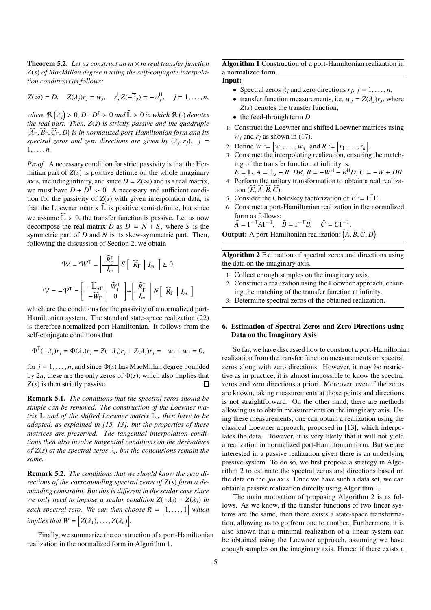Theorem 5.2. *Let us construct an m* × *m real transfer function Z*(*s*) *of MacMillan degree n using the self-conjugate interpolation conditions as follows:*

$$
Z(\infty) = D, \quad Z(\lambda_j)r_j = w_j, \quad r_j^{\mathsf{H}}Z(-\overline{\lambda}_j) = -w_j^{\mathsf{H}}, \quad j = 1, \ldots, n,
$$

*where*  $\mathbb{R}(\lambda_j) > 0$ ,  $D + D^T > 0$  *and*  $\widehat{\mathbb{L}} > 0$  *in which*  $\mathbb{R}(\cdot)$  *denotes the real part. Then, Z*(*s*) *is strictly passive and the quadruple*  ${A_{\Gamma}, \widehat{B}_{\Gamma}, \widehat{C}_{\Gamma}, D}$  *is in normalized port-Hamiltonian form and its spectral zeros and zero directions are given by*  $(\lambda_j, r_j)$ ,  $j =$  $1, \ldots, n$ .

*Proof.* A necessary condition for strict passivity is that the Hermitian part of  $Z(s)$  is positive definite on the whole imaginary axis, including infinity, and since  $D = Z(\infty)$  and is a real matrix, we must have  $D + D^T > 0$ . A necessary and sufficient condition for the passivity of  $Z(s)$  with given interpolation data, is that the Loewner matrix  $\widehat{\mathbb{L}}$  is positive semi-definite, but since we assume  $\widehat{\mathbb{L}} > 0$ , the transfer function is passive. Let us now decompose the real matrix *D* as  $D = N + S$ , where *S* is the symmetric part of *D* and *N* is its skew-symmetric part. Then, following the discussion of Section [2,](#page-0-0) we obtain

$$
\mathcal{W} = \mathcal{W}^{T} = \left[\frac{\widehat{R}_{\Gamma}^{T}}{I_{m}}\right] S \left[\begin{array}{c} \widehat{R}_{\Gamma} \mid I_{m} \end{array}\right] \geq 0,
$$
  

$$
\mathcal{V} = -\mathcal{V}^{T} = \left[\frac{-\widehat{\mathbb{L}}_{\sigma\Gamma} \left[\begin{array}{c} \widehat{W}_{\Gamma}^{T} \\ -\widehat{W}_{\Gamma} \end{array}\right] + \left[\begin{array}{c} \widehat{R}_{\Gamma}^{T} \\ I_{m} \end{array}\right] N \left[\begin{array}{c} \widehat{R}_{\Gamma} \mid I_{m} \end{array}\right]
$$

i

which are the conditions for the passivity of a normalized port-Hamiltonian system. The standard state-space realization [\(22\)](#page-3-3) is therefore normalized port-Hamiltonian. It follows from the self-conjugate conditions that

$$
\Phi^{\mathsf{T}}(-\lambda_j)r_j = \Phi(\lambda_j)r_j = Z(-\lambda_j)r_j + Z(\lambda_j)r_j = -w_j + w_j = 0,
$$

for  $j = 1, \ldots, n$ , and since  $\Phi(s)$  has MacMillan degree bounded by 2*n*, these are the only zeros of  $\Phi(s)$ , which also implies that *Z*(*s*) is then strictly passive. П

Remark 5.1. *The conditions that the spectral zeros should be simple can be removed. The construction of the Loewner matrix*  $\mathbb{L}$  *and of the shifted Loewner matrix*  $\mathbb{L}_{\sigma}$  *then have to be adapted, as explained in [\[15](#page-8-14), [13](#page-8-12)], but the properties of these matrices are preserved. The tangential interpolation conditions then also involve tangential conditions on the derivatives of Z*(*s*) *at the spectral zeros* λ*<sup>i</sup> , but the conclusions remain the same.*

Remark 5.2. *The conditions that we should know the zero directions of the corresponding spectral zeros of Z*(*s*) *form a demanding constraint. But this is di*ff*erent in the scalar case since we only need to impose a scalar condition*  $Z(-\lambda_i) + Z(\lambda_i)$  *in* each spectral zero. We can then choose  $R = \begin{bmatrix} 1, ..., 1 \end{bmatrix}$  which *implies that*  $W = [Z(\lambda_1), \ldots, Z(\lambda_n)].$ 

Finally, we summarize the construction of a port-Hamiltonian realization in the normalized form in Algorithm [1.](#page-4-0)

<span id="page-4-0"></span>Algorithm 1 Construction of a port-Hamiltonian realization in a normalized form. Input:

- Spectral zeros  $\lambda_j$  and zero directions  $r_j$ ,  $j = 1, \ldots, n$ ,
- transfer function measurements, i.e.  $w_j = Z(\lambda_j)r_j$ , where *Z*(*s*) denotes the transfer function,
- the feed-through term *D*.
- 1: Construct the Loewner and shifted Loewner matrices using  $w_i$  and  $r_i$  as shown in [\(17\)](#page-3-2).
- 2: Define  $W := [w_1, ..., w_n]$  and  $R := [r_1, ..., r_n]$ .
- 3: Construct the interpolating realization, ensuring the matching of the transfer function at infinity is:

 $E = \mathbb{L}, A = \mathbb{L}_s - R^H D R, B = -W^H - R^H D, C = -W + D R.$ 

- 4: Perform the unitary transformation to obtain a real realization  $(E, A, B, C)$ .
- 5: Consider the Choleskey factorization of  $\widehat{E} := \Gamma^{\mathsf{T}}\Gamma$ .
- 6: Construct a port-Hamiltonian realization in the normalized form as follows:

$$
\tilde{A} = \Gamma^{-1} \widehat{A} \Gamma^{-1}, \quad \tilde{B} = \Gamma^{-1} \widehat{B}, \quad \tilde{C} = \widehat{C} \Gamma^{-1}.
$$

<span id="page-4-1"></span>**Output:** A port-Hamiltonian realization:  $(\tilde{A}, \tilde{B}, \tilde{C}, D)$ .

Algorithm 2 Estimation of spectral zeros and directions using the data on the imaginary axis.

- 1: Collect enough samples on the imaginary axis.
- 2: Construct a realization using the Loewner approach, ensuring the matching of the transfer function at infinity.
- Determine spectral zeros of the obtained realization.

# 6. Estimation of Spectral Zeros and Zero Directions using Data on the Imaginary Axis

So far, we have discussed how to construct a port-Hamiltonian realization from the transfer function measurements on spectral zeros along with zero directions. However, it may be restrictive as in practice, it is almost impossible to know the spectral zeros and zero directions a priori. Moreover, even if the zeros are known, taking measurements at those points and directions is not straightforward. On the other hand, there are methods allowing us to obtain measurements on the imaginary axis. Using these measurements, one can obtain a realization using the classical Loewner approach, proposed in [\[13](#page-8-12)], which interpolates the data. However, it is very likely that it will not yield a realization in normalized port-Hamiltonian form. But we are interested in a passive realization given there is an underlying passive system. To do so, we first propose a strategy in Algorithm [2](#page-4-1) to estimate the spectral zeros and directions based on the data on the  $j\omega$  axis. Once we have such a data set, we can obtain a passive realization directly using Algorithm [1.](#page-4-0)

The main motivation of proposing Algorithm [2](#page-4-1) is as follows. As we know, if the transfer functions of two linear systems are the same, then there exists a state-space transformation, allowing us to go from one to another. Furthermore, it is also known that a minimal realization of a linear system can be obtained using the Loewner approach, assuming we have enough samples on the imaginary axis. Hence, if there exists a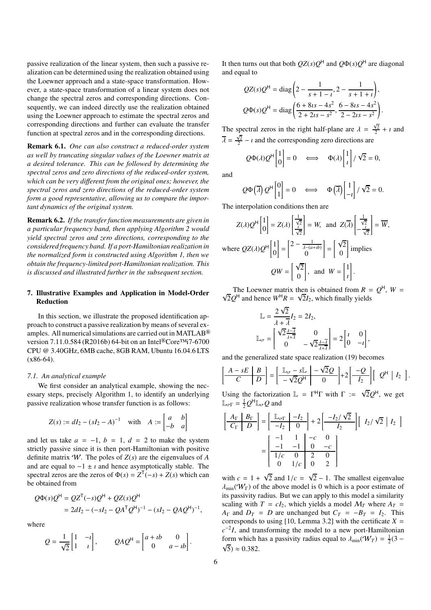passive realization of the linear system, then such a passive realization can be determined using the realization obtained using the Loewner approach and a state-space transformation. However, a state-space transformation of a linear system does not change the spectral zeros and corresponding directions. Consequently, we can indeed directly use the realization obtained using the Loewner approach to estimate the spectral zeros and corresponding directions and further can evaluate the transfer function at spectral zeros and in the corresponding directions.

Remark 6.1. *One can also construct a reduced-order system as well by truncating singular values of the Loewner matrix at a desired tolerance. This can be followed by determining the spectral zeros and zero directions of the reduced-order system, which can be very di*ff*erent from the original ones; however, the spectral zeros and zero directions of the reduced-order system form a good representative, allowing us to compare the important dynamics of the original system.*

Remark 6.2. *If the transfer function measurements are given in a particular frequency band, then applying Algorithm [2](#page-4-1) would yield spectral zeros and zero directions, corresponding to the considered frequency band. If a port-Hamiltonian realization in the normalized form is constructed using Algorithm [1,](#page-4-0) then we obtain the frequency-limited port-Hamiltonian realization. This is discussed and illustrated further in the subsequent section.*

# 7. Illustrative Examples and Application in Model-Order Reduction

In this section, we illustrate the proposed identification approach to construct a passive realization by means of several examples. All numerical simulations are carried out in MATLAB® version 7.11.0.584 (R2016b) 64-bit on an Intel®Core™i7-6700 CPU @ 3.40GHz, 6MB cache, 8GB RAM, Ubuntu 16.04.6 LTS (x86-64).

### *7.1. An analytical example*

We first consider an analytical example, showing the necessary steps, precisely Algorithm [1,](#page-4-0) to identify an underlying passive realization whose transfer function is as follows:

$$
Z(s) := dI_2 - (sI_2 - A)^{-1} \quad \text{with} \quad A := \begin{bmatrix} a & b \\ -b & a \end{bmatrix}
$$

and let us take  $a = -1$ ,  $b = 1$ ,  $d = 2$  to make the system strictly passive since it is then port-Hamiltonian with positive definite matrix W. The poles of *Z*(*s*) are the eigenvalues of *A* and are equal to  $-1 \pm i$  and hence asymptotically stable. The spectral zeros are the zeros of  $\Phi(s) = Z^{\mathsf{T}}(-s) + Z(s)$  which can be obtained from

$$
Q\Phi(s)Q^{\mathsf{H}} = QZ^{\mathsf{T}}(-s)Q^{\mathsf{H}} + QZ(s)Q^{\mathsf{H}}
$$
  
=  $2dI_2 - (-sI_2 - QA^{\mathsf{T}}Q^{\mathsf{H}})^{-1} - (sI_2 - QAQ^{\mathsf{H}})^{-1},$ 

where

$$
Q = \frac{1}{\sqrt{2}} \begin{bmatrix} 1 & -i \\ 1 & i \end{bmatrix}, \qquad QAQ^{H} = \begin{bmatrix} a+ib & 0 \\ 0 & a-ib \end{bmatrix}.
$$

It then turns out that both  $QZ(s)Q^H$  and  $Q\Phi(s)Q^H$  are diagonal and equal to

$$
QZ(s)Q^{H} = \text{diag}\left(2 - \frac{1}{s+1-i}, 2 - \frac{1}{s+1+i}\right),
$$
  

$$
Q\Phi(s)Q^{H} = \text{diag}\left(\frac{6+8ts-4s^{2}}{2+2ts-s^{2}}, \frac{6-8ts-4s^{2}}{2-2ts-s^{2}}\right).
$$

The spectral zeros in the right half-plane are  $\lambda = \frac{\sqrt{2}}{2} + i$  and  $\overline{\lambda} = \frac{\sqrt{2}}{2} - i$  and the corresponding zero directions are

$$
Q\Phi(\lambda)Q^H\begin{bmatrix}1\\0\end{bmatrix}=0 \iff \Phi(\lambda)\begin{bmatrix}1\\i\end{bmatrix}/\sqrt{2}=0,
$$

and

 $\overline{[}$ 

$$
Q\Phi(\overline{\lambda})Q^{\mu} \begin{bmatrix} 0 \\ 1 \end{bmatrix} = 0 \iff \Phi(\overline{\lambda}) \begin{bmatrix} 1 \\ -i \end{bmatrix} / \sqrt{2} = 0.
$$

The interpolation conditions then are

$$
Z(\lambda)Q^{H}\begin{bmatrix}1\\0\end{bmatrix} = Z(\lambda)\begin{bmatrix}\frac{1}{\sqrt{2}}\\ \frac{1}{\sqrt{2}}\end{bmatrix} = W, \text{ and } Z(\overline{\lambda})\begin{bmatrix}\frac{1}{\sqrt{2}}\\ -\frac{1}{\sqrt{2}}\end{bmatrix} = \overline{W},
$$
  
where  $QZ(\lambda)Q^{H}\begin{bmatrix}1\\0\end{bmatrix} = \begin{bmatrix}2-\frac{1}{\lambda-(a+ib)}\\0\end{bmatrix} = \begin{bmatrix}\sqrt{2}\\0\end{bmatrix}$  implies  

$$
QW = \begin{bmatrix}\sqrt{2}\\0\end{bmatrix}, \text{ and } W = \begin{bmatrix}1\\i\end{bmatrix}.
$$

The Loewner matrix then is obtained from  $R = Q^H$ ,  $W = \sqrt{2}Q^H$  and hance  $W^H P = \sqrt{2}L$ , which finally vialds  $2Q^H$  and hence  $W^H R = \sqrt{2}I_2$ , which finally yields

$$
\mathbb{L} = \frac{2\sqrt{2}}{\lambda + \overline{\lambda}} I_2 = 2I_2,
$$
\n
$$
\mathbb{L}_{\sigma} = \begin{bmatrix} \sqrt{2} \frac{\lambda - \overline{\lambda}}{\lambda + \overline{\lambda}} & 0 \\ 0 & -\sqrt{2} \frac{\lambda - \overline{\lambda}}{\lambda + \overline{\lambda}} \end{bmatrix} = 2 \begin{bmatrix} i & 0 \\ 0 & -i \end{bmatrix},
$$

and the generalized state space realization [\(19\)](#page-3-1) becomes

$$
\frac{A-sE}{C}\begin{bmatrix} B \\ D \end{bmatrix} = \begin{bmatrix} \mathbb{L}_{\sigma} - s\mathbb{L} & -\sqrt{2}Q \\ -\sqrt{2}Q^{\mathsf{H}} & 0 \end{bmatrix} + 2\begin{bmatrix} -Q \\ I_2 \end{bmatrix} \begin{bmatrix} Q^{\mathsf{H}} & I_2 \end{bmatrix}.
$$

Using the factorization  $\mathbb{L} = \Gamma^{\text{H}}\Gamma$  with  $\Gamma := \sqrt{2}Q^{\text{H}}$ , we get  $\mathbb{L}_{\sigma\Gamma} = \frac{1}{2} Q^{\mathsf{H}} \mathbb{L}_{\sigma} Q$  and

$$
\left[\begin{array}{c|c}\nA_{\Gamma} & B_{\Gamma} \\
\hline\nC_{\Gamma} & D\n\end{array}\right] = \left[\begin{array}{c|c}\n\mathbb{L}_{\sigma\Gamma} & -I_2 \\
\hline\n-I_2 & 0\n\end{array}\right] + 2 \left[\begin{array}{c|c}-I_2/\sqrt{2} \\
\hline\nI_2\n\end{array}\right] \left[\begin{array}{c|c}\nI_2/\sqrt{2} & I_2\n\end{array}\right]
$$

$$
= \left[\begin{array}{cc|c}-1 & 1 & -c & 0 \\
\hline\n1/c & 0 & 2 & 0 \\
\hline\n0 & 1/c & 0 & 2\n\end{array}\right]
$$

with  $c = 1 + \sqrt{2}$  and  $1/c = \sqrt{2} - 1$ . The smallest eigenvalue  $\lambda_{\min}(\mathcal{W}_{\Gamma})$  of the above model is 0 which is a poor estimate of its passivity radius. But we can apply to this model a similarity scaling with  $T = cI_2$ , which yields a model  $M_T$  where  $A_T =$ *A*<sup> $\Gamma$ </sup> and *D*<sup>*T*</sup> = *D* are unchanged but  $C_T$  = −*B*<sup>*T*</sup> = *I*<sub>2</sub>. This corresponds to using [\[10,](#page-8-9) Lemma 3.2] with the certificate  $X =$  $c^{-2}I$ , and transforming the model to a new port-Hamiltonian form which has a passivity radius equal to  $\lambda_{\min}(\mathcal{W}_T) = \frac{1}{2}(3 - \frac{1}{2})$  $\sqrt{5}$ ) ≈ 0.382.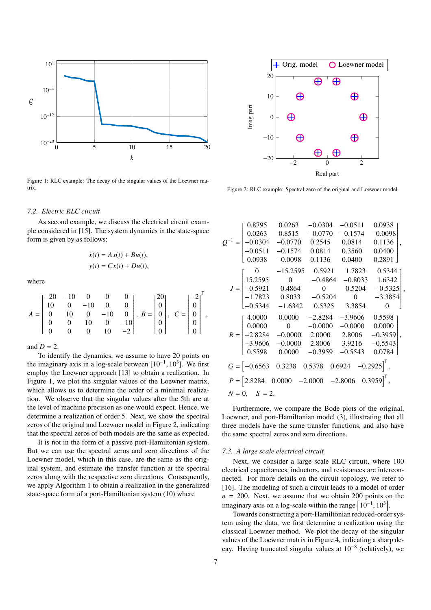<span id="page-6-0"></span>

Figure 1: RLC example: The decay of the singular values of the Loewner matrix.

#### *7.2. Electric RLC circuit*

As second example, we discuss the electrical circuit example considered in [\[15\]](#page-8-14). The system dynamics in the state-space form is given by as follows:

$$
\dot{x}(t) = Ax(t) + Bu(t),
$$
  

$$
y(t) = Cx(t) + Du(t),
$$

where

$$
A = \begin{bmatrix} -20 & -10 & 0 & 0 & 0 \\ 10 & 0 & -10 & 0 & 0 \\ 0 & 10 & 0 & -10 & 0 \\ 0 & 0 & 10 & 0 & -10 \\ 0 & 0 & 0 & 10 & -2 \end{bmatrix}, B = \begin{bmatrix} 20 \\ 0 \\ 0 \\ 0 \\ 0 \end{bmatrix}, C = \begin{bmatrix} -2 \\ 0 \\ 0 \\ 0 \\ 0 \end{bmatrix}^T
$$

and  $D = 2$ .

To identify the dynamics, we assume to have 20 points on the imaginary axis in a log-scale between  $[10^{-1}, 10^3]$ . We first employ the Loewner approach [\[13](#page-8-12)] to obtain a realization. In Figure [1,](#page-6-0) we plot the singular values of the Loewner matrix, which allows us to determine the order of a minimal realization. We observe that the singular values after the 5th are at the level of machine precision as one would expect. Hence, we determine a realization of order 5. Next, we show the spectral zeros of the original and Loewner model in Figure [2,](#page-6-1) indicating that the spectral zeros of both models are the same as expected.

It is not in the form of a passive port-Hamiltonian system. But we can use the spectral zeros and zero directions of the Loewner model, which in this case, are the same as the original system, and estimate the transfer function at the spectral zeros along with the respective zero directions. Consequently, we apply Algorithm [1](#page-4-0) to obtain a realization in the generalized state-space form of a port-Hamiltonian system [\(10\)](#page-1-1) where

<span id="page-6-1"></span>

Figure 2: RLC example: Spectral zero of the original and Loewner model.

|                                                                            | 0.8795                                             | 0.0263                                                                               | $-0.0304$      | $-0.0511$      | 0.0938    |  |
|----------------------------------------------------------------------------|----------------------------------------------------|--------------------------------------------------------------------------------------|----------------|----------------|-----------|--|
| $Q^{-1} =$                                                                 | 0.0263                                             | 0.8515                                                                               | $-0.0770$      | $-0.1574$      | $-0.0098$ |  |
|                                                                            | $\begin{bmatrix} -0.0304 \\ -0.0511 \end{bmatrix}$ | $-0.0770$                                                                            | 0.2545         | 0.0814         | 0.1136    |  |
|                                                                            |                                                    | $-0.1574$                                                                            | 0.0814         | 0.3560         | 0.0400    |  |
|                                                                            | 0.0938                                             | $-0.0098$                                                                            | 0.1136         | 0.0400         | 0.2891    |  |
|                                                                            | $\sim$ 0                                           | $-15.2595$                                                                           | 0.5921         | 1.7823         | 0.5344    |  |
| $J = \begin{bmatrix} 13.2333 \\ -0.5921 \\ -1.7823 \end{bmatrix}$          | 15.2595                                            | $\overline{0}$                                                                       | $-0.4864$      | $-0.8033$      | 1.6342    |  |
|                                                                            |                                                    | 0.4864                                                                               | $\overline{0}$ | 0.5204         | $-0.5325$ |  |
|                                                                            |                                                    | 0.8033                                                                               | $-0.5204$      | $\overline{0}$ | $-3.3854$ |  |
|                                                                            | $-0.5344$                                          | $-1.6342$                                                                            | 0.5325         | 3.3854         | $\Omega$  |  |
|                                                                            | 4.0000                                             | 0.0000                                                                               | $-2.8284$      | $-3.9606$      | 0.5598    |  |
| $R = \begin{bmatrix} -2.8284 \\ -3.9606 \end{bmatrix}$                     | 0.0000                                             | $\overline{0}$                                                                       | $-0.0000$      | $-0.0000$      | 0.0000    |  |
|                                                                            |                                                    | $-0.0000$                                                                            | 2.0000         | 2.8006         | $-0.3959$ |  |
|                                                                            |                                                    | $-0.0000$                                                                            | 2.8006         | 3.9216         | $-0.5543$ |  |
|                                                                            | 0.5598                                             | 0.0000                                                                               | $-0.3959$      | $-0.5543$      | 0.0784    |  |
|                                                                            |                                                    | $G = \begin{bmatrix} -0.6563 & 0.3238 & 0.5378 & 0.6924 & -0.2925 \end{bmatrix}^T$ , |                |                |           |  |
| $P = [2.8284 \quad 0.0000 \quad -2.0000 \quad -2.8006 \quad 0.3959]^{T}$ , |                                                    |                                                                                      |                |                |           |  |
|                                                                            | $N = 0, S = 2.$                                    |                                                                                      |                |                |           |  |

Furthermore, we compare the Bode plots of the original, Loewner, and port-Hamiltonian model [\(3\)](#page-7-0), illustrating that all three models have the same transfer functions, and also have the same spectral zeros and zero directions.

### *7.3. A large scale electrical circuit*

Next, we consider a large scale RLC circuit, where 100 electrical capacitances, inductors, and resistances are interconnected. For more details on the circuit topology, we refer to [\[16\]](#page-8-15). The modeling of such a circuit leads to a model of order  $n = 200$ . Next, we assume that we obtain 200 points on the imaginary axis on a log-scale within the range  $\left[10^{-1}, 10^{3}\right]$ .

Towards constructing a port-Hamiltonian reduced-order system using the data, we first determine a realization using the classical Loewner method. We plot the decay of the singular values of the Loewner matrix in Figure [4,](#page-7-1) indicating a sharp decay. Having truncated singular values at 10−<sup>8</sup> (relatively), we

,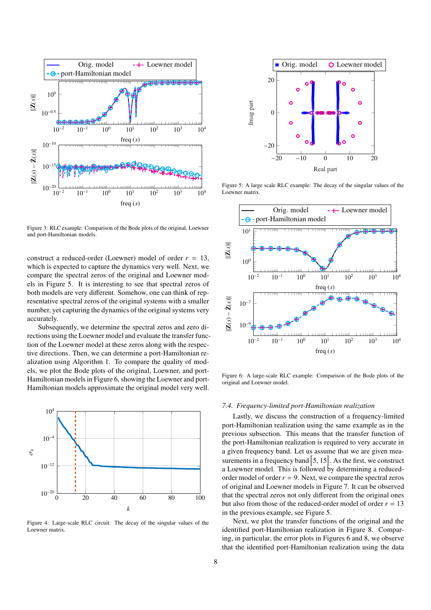<span id="page-7-0"></span>

Figure 3: RLC example: Comparison of the Bode plots of the original, Loewner and port-Hamiltonian models.

construct a reduced-order (Loewner) model of order  $r = 13$ , which is expected to capture the dynamics very well. Next, we compare the spectral zeros of the original and Loewner models in Figure [5.](#page-7-2) It is interesting to see that spectral zeros of both models are very different. Somehow, one can think of representative spectral zeros of the original systems with a smaller number, yet capturing the dynamics of the original systems very accurately.

Subsequently, we determine the spectral zeros and zero directions using the Loewner model and evaluate the transfer function of the Loewner model at these zeros along with the respective directions. Then, we can determine a port-Hamiltonian realization using Algorithm [1.](#page-4-0) To compare the quality of models, we plot the Bode plots of the original, Loewner, and port-Hamiltonian models in Figure [6,](#page-7-3) showing the Loewner and port-Hamiltonian models approximate the original model very well.

<span id="page-7-1"></span>

Figure 4: Large-scale RLC circuit: The decay of the singular values of the Loewner matrix.

<span id="page-7-2"></span>

Figure 5: A large scale RLC example: The decay of the singular values of the Loewner matrix.

<span id="page-7-3"></span>

Figure 6: A large-scale RLC example: Comparison of the Bode plots of the original and Loewner model.

### *7.4. Frequency-limited port-Hamiltonian realization*

Lastly, we discuss the construction of a frequency-limited port-Hamiltonian realization using the same example as in the previous subsection. This means that the transfer function of the port-Hamiltonian realization is required to very accurate in a given frequency band. Let us assume that we are given measurements in a frequency band  $[5, 15]$ . As the first, we construct a Loewner model. This is followed by determining a reducedorder model of order  $r = 9$ . Next, we compare the spectral zeros of original and Loewner models in Figure [7.](#page-8-16) It can be observed that the spectral zeros not only different from the original ones but also from those of the reduced-order model of order  $r = 13$ in the previous example, see Figure [5.](#page-7-2)

Next, we plot the transfer functions of the original and the identified port-Hamiltonian realization in Figure [8.](#page-8-17) Comparing, in particular, the error plots in Figures [6](#page-7-3) and [8,](#page-8-17) we observe that the identified port-Hamiltonian realization using the data